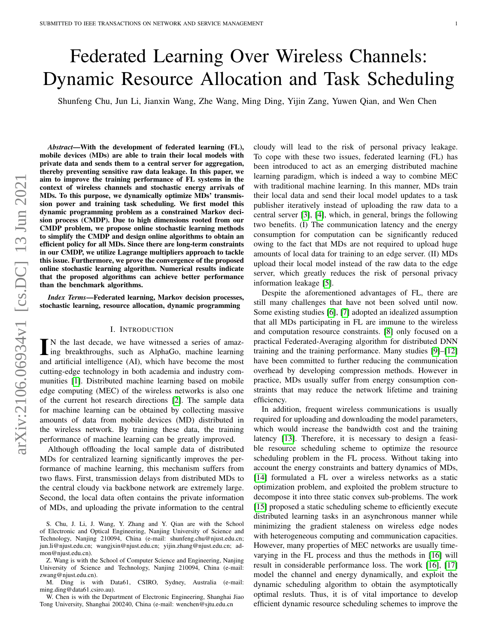# Federated Learning Over Wireless Channels: Dynamic Resource Allocation and Task Scheduling

Shunfeng Chu, Jun Li, Jianxin Wang, Zhe Wang, Ming Ding, Yijin Zang, Yuwen Qian, and Wen Chen

*Abstract*—With the development of federated learning (FL), mobile devices (MDs) are able to train their local models with private data and sends them to a central server for aggregation, thereby preventing sensitive raw data leakage. In this paper, we aim to improve the training performance of FL systems in the context of wireless channels and stochastic energy arrivals of MDs. To this purpose, we dynamically optimize MDs' transmission power and training task scheduling. We first model this dynamic programming problem as a constrained Markov decision process (CMDP). Due to high dimensions rooted from our CMDP problem, we propose online stochastic learning methods to simplify the CMDP and design online algorithms to obtain an efficient policy for all MDs. Since there are long-term constraints in our CMDP, we utilize Lagrange multipliers approach to tackle this issue. Furthermore, we prove the convergence of the proposed online stochastic learning algorithm. Numerical results indicate that the proposed algorithms can achieve better performance than the benchmark algorithms.

*Index Terms*—Federated learning, Markov decision processes, stochastic learning, resource allocation, dynamic programming

#### I. INTRODUCTION

IN the last decade, we have witnessed a series of amazing breakthroughs, such as AlphaGo, machine learning and artificial intelligence (AI), which have become the most N the last decade, we have witnessed a series of amazing breakthroughs, such as AlphaGo, machine learning cutting-edge technology in both academia and industry communities [\[1\]](#page-12-0). Distributed machine learning based on mobile edge computing (MEC) of the wireless networks is also one of the current hot research directions [\[2\]](#page-12-1). The sample data for machine learning can be obtained by collecting massive amounts of data from mobile devices (MD) distributed in the wireless network. By training these data, the training performance of machine learning can be greatly improved.

Although offloading the local sample data of distributed MDs for centralized learning significantly improves the performance of machine learning, this mechanism suffers from two flaws. First, transmission delays from distributed MDs to the central cloudy via backbone network are extremely large. Second, the local data often contains the private information of MDs, and uploading the private information to the central

Z. Wang is with the School of Computer Science and Engineering, Nanjing University of Science and Technology, Nanjing 210094, China (e-mail: zwang@njust.edu.cn).

M. Ding is with Data61, CSIRO, Sydney, Australia (e-mail: ming.ding@data61.csiro.au).

W. Chen is with the Department of Electronic Engineering, Shanghai Jiao Tong University, Shanghai 200240, China (e-mail: wenchen@sjtu.edu.cn

cloudy will lead to the risk of personal privacy leakage. To cope with these two issues, federated learning (FL) has been introduced to act as an emerging distributed machine learning paradigm, which is indeed a way to combine MEC with traditional machine learning. In this manner, MDs train their local data and send their local model updates to a task publisher iteratively instead of uploading the raw data to a central server [\[3\]](#page-12-2), [\[4\]](#page-12-3), which, in general, brings the following two benefits. (I) The communication latency and the energy consumption for computation can be significantly reduced owing to the fact that MDs are not required to upload huge amounts of local data for training to an edge server. (II) MDs upload their local model instead of the raw data to the edge server, which greatly reduces the risk of personal privacy information leakage [\[5\]](#page-12-4).

Despite the aforementioned advantages of FL, there are still many challenges that have not been solved until now. Some existing studies [\[6\]](#page-12-5), [\[7\]](#page-12-6) adopted an idealized assumption that all MDs participating in FL are immune to the wireless and computation resource constraints. [\[8\]](#page-12-7) only focused on a practical Federated-Averaging algorithm for distributed DNN training and the training performance. Many studies [\[9\]](#page-12-8)–[\[12\]](#page-12-9) have been committed to further reducing the communication overhead by developing compression methods. However in practice, MDs usually suffer from energy consumption constraints that may reduce the network lifetime and training efficiency.

In addition, frequent wireless communications is usually required for uploading and downloading the model parameters, which would increase the bandwidth cost and the training latency [\[13\]](#page-12-10). Therefore, it is necessary to design a feasible resource scheduling scheme to optimize the resource scheduling problem in the FL process. Without taking into account the energy constraints and battery dynamics of MDs, [\[14\]](#page-12-11) formulated a FL over a wireless networks as a static optimization problem, and exploited the problem structure to decompose it into three static convex sub-problems. The work [\[15\]](#page-12-12) proposed a static scheduling scheme to efficiently execute distributed learning tasks in an asynchronous manner while minimizing the gradient staleness on wireless edge nodes with heterogeneous computing and communication capacities. However, many properties of MEC networks are usually timevarying in the FL process and thus the methods in [\[16\]](#page-12-13) will result in considerable performance loss. The work [\[16\]](#page-12-13), [\[17\]](#page-12-14) model the channel and energy dynamically, and exploit the dynamic scheduling algorithm to obtain the asymptotically optimal resluts. Thus, it is of vital importance to develop efficient dynamic resource scheduling schemes to improve the

S. Chu, J. Li, J. Wang, Y. Zhang and Y. Qian are with the School of Electronic and Optical Engineering, Nanjing University of Science and Technology, Nanjing 210094, China (e-mail: shunfeng.chu@njust.edu.cn; jun.li@njust.edu.cn; wangjxin@njust.edu.cn; yijin.zhang@njust.edu.cn; admon@njust.edu.cn).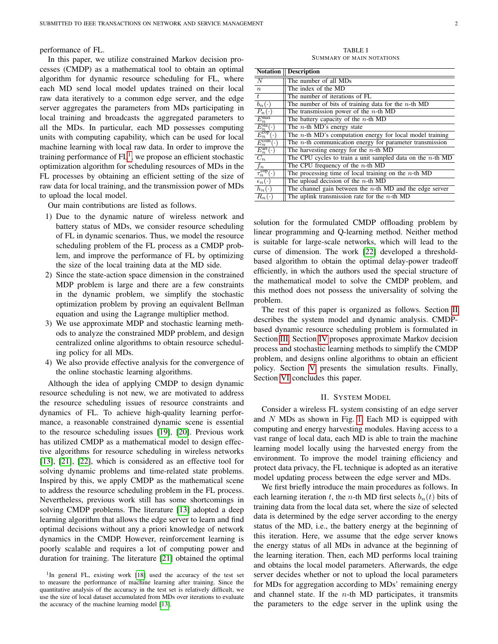performance of FL.

In this paper, we utilize constrained Markov decision processes (CMDP) as a mathematical tool to obtain an optimal algorithm for dynamic resource scheduling for FL, where each MD send local model updates trained on their local raw data iteratively to a common edge server, and the edge server aggregates the parameters from MDs participating in local training and broadcasts the aggregated parameters to all the MDs. In particular, each MD possesses computing units with computing capability, which can be used for local machine learning with local raw data. In order to improve the training performance of  $FL<sup>1</sup>$  $FL<sup>1</sup>$  $FL<sup>1</sup>$ , we propose an efficient stochastic optimization algorithm for scheduling resources of MDs in the FL processes by obtaining an efficient setting of the size of raw data for local training, and the transmission power of MDs to upload the local model.

Our main contributions are listed as follows.

- 1) Due to the dynamic nature of wireless network and battery status of MDs, we consider resource scheduling of FL in dynamic scenarios. Thus, we model the resource scheduling problem of the FL process as a CMDP problem, and improve the performance of FL by optimizing the size of the local training data at the MD side.
- 2) Since the state-action space dimension in the constrained MDP problem is large and there are a few constraints in the dynamic problem, we simplify the stochastic optimization problem by proving an equivalent Bellman equation and using the Lagrange multiplier method.
- 3) We use approximate MDP and stochastic learning methods to analyze the constrained MDP problem, and design centralized online algorithms to obtain resource scheduling policy for all MDs.
- 4) We also provide effective analysis for the convergence of the online stochastic learning algorithms.

Although the idea of applying CMDP to design dynamic resource scheduling is not new, we are motivated to address the resource scheduling issues of resource constraints and dynamics of FL. To achieve high-quality learning performance, a reasonable constrained dynamic scene is essential to the resource scheduling issues [\[19\]](#page-12-15), [\[20\]](#page-12-16). Previous work has utilized CMDP as a mathematical model to design effective algorithms for resource scheduling in wireless networks [\[13\]](#page-12-10), [\[21\]](#page-12-17), [\[22\]](#page-12-18), which is considered as an effective tool for solving dynamic problems and time-related state problems. Inspired by this, we apply CMDP as the mathematical scene to address the resource scheduling problem in the FL process. Nevertheless, previous work still has some shortcomings in solving CMDP problems. The literature [\[13\]](#page-12-10) adopted a deep learning algorithm that allows the edge server to learn and find optimal decisions without any a priori knowledge of network dynamics in the CMDP. However, reinforcement learning is poorly scalable and requires a lot of computing power and duration for training. The literature [\[21\]](#page-12-17) obtained the optimal

TABLE I SUMMARY OF MAIN NOTATIONS

| <b>Notation</b>                                           | <b>Description</b>                                            |
|-----------------------------------------------------------|---------------------------------------------------------------|
| $\overline{N}$                                            | The number of all MDs                                         |
| $\boldsymbol{n}$                                          | The index of the MD                                           |
| $\overline{t}$                                            | The number of iterations of FL                                |
| $\overline{b_n(\cdot)}$                                   | The number of bits of training data for the $n$ -th MD        |
| $\overline{P_n}(\cdot)$                                   | The transmission power of the $n$ -th MD                      |
| $\frac{E_n^{\max}}{E_n^{\text{sta}}(\cdot)}$              | The battery capacity of the $n$ -th MD                        |
|                                                           | The $n$ -th MD's energy state                                 |
| $\overrightarrow{E_n^{\text{cop}}}$ .                     | The $n$ -th MD's computation energy for local model training  |
| $\frac{E_n^{\text{com}}(\cdot)}{E_n^{\text{arr}}(\cdot)}$ | The $n$ -th communication energy for parameter transmission   |
|                                                           | The harvesting energy for the $n$ -th MD                      |
| $C_n$                                                     | The CPU cycles to train a unit sampled data on the $n$ -th MD |
| $\frac{f_n}{\tau_n^{\text{cop}}(\cdot)}$                  | The CPU frequency of the $n$ -th MD                           |
|                                                           | The processing time of local training on the $n$ -th MD       |
| $\epsilon_n(\cdot)$                                       | The upload decision of the $n$ -th MD                         |
| $\overline{h}_n(\cdot)$                                   | The channel gain between the $n$ -th MD and the edge server   |
| $R_n$                                                     | The uplink transmission rate for the $n$ -th MD               |

solution for the formulated CMDP offloading problem by linear programming and Q-learning method. Neither method is suitable for large-scale networks, which will lead to the curse of dimension. The work [\[22\]](#page-12-18) developed a thresholdbased algorithm to obtain the optimal delay-power tradeoff efficiently, in which the authors used the special structure of the mathematical model to solve the CMDP problem, and this method does not possess the universality of solving the problem.

The rest of this paper is organized as follows. Section [II](#page-1-1) describes the system model and dynamic analysis. CMDPbased dynamic resource scheduling problem is formulated in Section [III.](#page-3-0) Section [IV](#page-5-0) proposes approximate Markov decision process and stochastic learning methods to simplify the CMDP problem, and designs online algorithms to obtain an efficient policy. Section [V](#page-10-0) presents the simulation results. Finally, Section [VI](#page-11-0) concludes this paper.

#### II. SYSTEM MODEL

<span id="page-1-1"></span>Consider a wireless FL system consisting of an edge server and  $N$  MDs as shown in Fig. [1.](#page-2-0) Each MD is equipped with computing and energy harvesting modules. Having access to a vast range of local data, each MD is able to train the machine learning model locally using the harvested energy from the environment. To improve the model training efficiency and protect data privacy, the FL technique is adopted as an iterative model updating process between the edge server and MDs.

We first briefly introduce the main procedures as follows. In each learning iteration t, the n-th MD first selects  $b_n(t)$  bits of training data from the local data set, where the size of selected data is determined by the edge server according to the energy status of the MD, i.e., the battery energy at the beginning of this iteration. Here, we assume that the edge server knows the energy status of all MDs in advance at the beginning of the learning iteration. Then, each MD performs local training and obtains the local model parameters. Afterwards, the edge server decides whether or not to upload the local parameters for MDs for aggregation according to MDs' remaining energy and channel state. If the  $n$ -th MD participates, it transmits the parameters to the edge server in the uplink using the

<span id="page-1-0"></span><sup>&</sup>lt;sup>1</sup>In general FL, existing work [\[18\]](#page-12-19) used the accuracy of the test set to measure the performance of machine learning after training. Since the quantitative analysis of the accuracy in the test set is relatively difficult, we use the size of local dataset accumulated from MDs over iterations to evaluate the accuracy of the machine learning model [\[13\]](#page-12-10).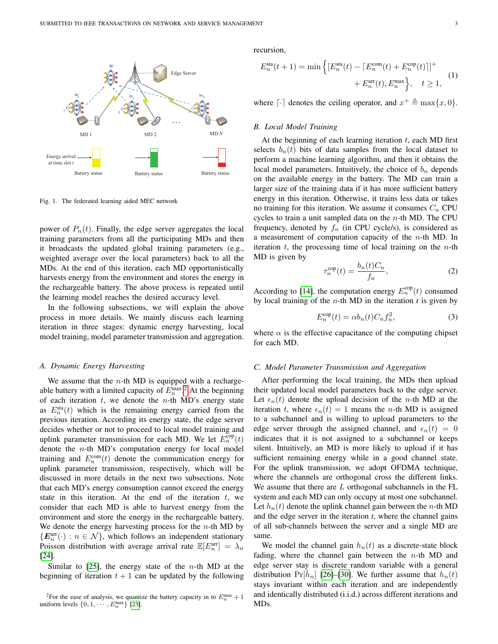

<span id="page-2-0"></span>Fig. 1. The federated learning aided MEC network

power of  $P_n(t)$ . Finally, the edge server aggregates the local training parameters from all the participating MDs and then it broadcasts the updated global training parameters (e.g., weighted average over the local parameters) back to all the MDs. At the end of this iteration, each MD opportunistically harvests energy from the environment and stores the energy in the rechargeable battery. The above process is repeated until the learning model reaches the desired accuracy level.

In the following subsections, we will explain the above process in more details. We mainly discuss each learning iteration in three stages: dynamic energy harvesting, local model training, model parameter transmission and aggregation.

## *A. Dynamic Energy Harvesting*

We assume that the  $n$ -th MD is equipped with a rechargeable battery with a limited capacity of  $E_n^{\text{max},2}$  $E_n^{\text{max},2}$  $E_n^{\text{max},2}$  At the beginning of each iteration  $t$ , we denote the  $n$ -th MD's energy state as  $E_n^{\text{sta}}(t)$  which is the remaining energy carried from the previous iteration. According its energy state, the edge server decides whether or not to proceed to local model training and uplink parameter transmission for each MD. We let  $E_n^{\text{cop}}(t)$ denote the  $n$ -th MD's computation energy for local model training and  $E_n^{\text{com}}(t)$  denote the communication energy for uplink parameter transmission, respectively, which will be discussed in more details in the next two subsections. Note that each MD's energy consumption cannot exceed the energy state in this iteration. At the end of the iteration  $t$ , we consider that each MD is able to harvest energy from the environment and store the energy in the rechargeable battery. We denote the energy harvesting process for the  $n$ -th MD by  $\{E_n^{\text{arr}}(\cdot) : n \in \mathcal{N}\}\$ , which follows an independent stationary Poisson distribution with average arrival rate  $\mathbb{E}[E_n^{\text{arr}}] = \lambda_n$ [\[24\]](#page-12-20).

Similar to  $[25]$ , the energy state of the *n*-th MD at the beginning of iteration  $t + 1$  can be updated by the following recursion,

<span id="page-2-2"></span>
$$
E_n^{\text{sta}}(t+1) = \min \left\{ \left[ E_n^{\text{sta}}(t) - \left[ E_n^{\text{com}}(t) + E_n^{\text{cop}}(t) \right] \right]^+ + E_n^{\text{arr}}(t), E_n^{\text{max}} \right\}, \quad t \ge 1,
$$
 (1)

where  $\lceil \cdot \rceil$  denotes the ceiling operator, and  $x^+ \triangleq \max\{x, 0\}.$ 

#### *B. Local Model Training*

At the beginning of each learning iteration  $t$ , each MD first selects  $b_n(t)$  bits of data samples from the local dataset to perform a machine learning algorithm, and then it obtains the local model parameters. Intuitively, the choice of  $b_n$  depends on the available energy in the battery. The MD can train a larger size of the training data if it has more sufficient battery energy in this iteration. Otherwise, it trains less data or takes no training for this iteration. We assume it consumes  $C_n$  CPU cycles to train a unit sampled data on the  $n$ -th MD. The CPU frequency, denoted by  $f_n$  (in CPU cycle/s), is considered as a measurement of computation capacity of the  $n$ -th MD. In iteration  $t$ , the processing time of local training on the  $n$ -th MD is given by

<span id="page-2-4"></span>
$$
\tau_n^{\text{cop}}(t) = \frac{b_n(t)C_n}{f_n},\tag{2}
$$

According to [\[14\]](#page-12-11), the computation energy  $E_n^{\text{cop}}(t)$  consumed by local training of the  $n$ -th MD in the iteration  $t$  is given by

<span id="page-2-3"></span>
$$
E_n^{\text{cop}}(t) = \alpha b_n(t) C_n f_n^2,\tag{3}
$$

where  $\alpha$  is the effective capacitance of the computing chipset for each MD.

#### *C. Model Parameter Transmission and Aggregation*

After performing the local training, the MDs then upload their updated local model parameters back to the edge server. Let  $\epsilon_n(t)$  denote the upload decision of the *n*-th MD at the iteration t, where  $\epsilon_n(t) = 1$  means the n-th MD is assigned to a subchannel and is willing to upload parameters to the edge server through the assigned channel, and  $\epsilon_n(t) = 0$ indicates that it is not assigned to a subchannel or keeps silent. Intuitively, an MD is more likely to upload if it has sufficient remaining energy while in a good channel state. For the uplink transmission, we adopt OFDMA technique, where the channels are orthogonal cross the different links. We assume that there are  $L$  orthogonal subchannels in the  $FL$ system and each MD can only occupy at most one subchannel. Let  $h_n(t)$  denote the uplink channel gain between the *n*-th MD and the edge server in the iteration *t*, where the channel gains of all sub-channels between the server and a single MD are same.

We model the channel gain  $h_n(t)$  as a discrete-state block fading, where the channel gain between the  $n$ -th MD and edge server stay is discrete random variable with a general distribution  $Pr[\overline{h}_n]$  [\[26\]](#page-12-23)–[\[30\]](#page-12-24). We further assume that  $h_n(t)$ stays invariant within each iteration and are independently and identically distributed (i.i.d.) across different iterations and MDs.

<span id="page-2-1"></span><sup>&</sup>lt;sup>2</sup>For the ease of analysis, we quantize the battery capacity in to  $E_n^{\max} + 1$ uniform levels  $\{0, 1, \cdots, E_n^{\max}\}\$  [\[23\]](#page-12-22).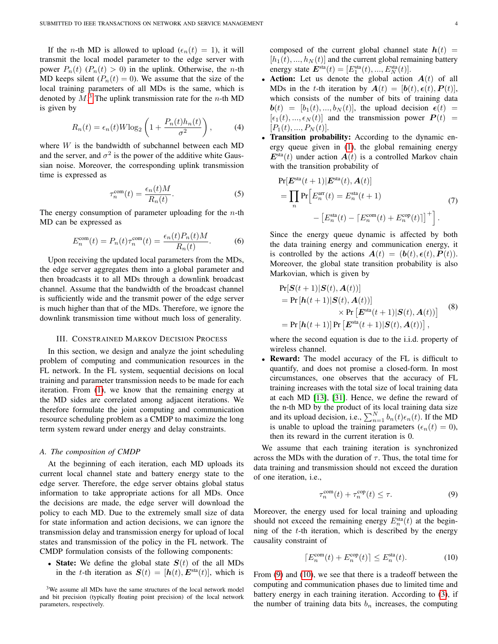If the *n*-th MD is allowed to upload  $(\epsilon_n(t) = 1)$ , it will transmit the local model parameter to the edge server with power  $P_n(t)$   $(P_n(t) > 0)$  in the uplink. Otherwise, the *n*-th MD keeps silent  $(P_n(t) = 0)$ . We assume that the size of the local training parameters of all MDs is the same, which is denoted by  $M$ .<sup>[3](#page-3-1)</sup> The uplink transmission rate for the *n*-th MD is given by

$$
R_n(t) = \epsilon_n(t)W \log_2 \left( 1 + \frac{P_n(t)h_n(t)}{\sigma^2} \right),\tag{4}
$$

where W is the bandwidth of subchannel between each MD and the server, and  $\sigma^2$  is the power of the additive white Gaussian noise. Moreover, the corresponding uplink transmission time is expressed as

$$
\tau_n^{\text{com}}(t) = \frac{\epsilon_n(t)M}{R_n(t)}.\tag{5}
$$

The energy consumption of parameter uploading for the  $n$ -th MD can be expressed as

$$
E_n^{\text{com}}(t) = P_n(t)\tau_n^{\text{com}}(t) = \frac{\epsilon_n(t)P_n(t)M}{R_n(t)}.
$$
 (6)

Upon receiving the updated local parameters from the MDs, the edge server aggregates them into a global parameter and then broadcasts it to all MDs through a downlink broadcast channel. Assume that the bandwidth of the broadcast channel is sufficiently wide and the transmit power of the edge server is much higher than that of the MDs. Therefore, we ignore the downlink transmission time without much loss of generality.

#### III. CONSTRAINED MARKOV DECISION PROCESS

<span id="page-3-0"></span>In this section, we design and analyze the joint scheduling problem of computing and communication resources in the FL network. In the FL system, sequential decisions on local training and parameter transmission needs to be made for each iteration. From [\(1\)](#page-2-2), we know that the remaining energy at the MD sides are correlated among adjacent iterations. We therefore formulate the joint computing and communication resource scheduling problem as a CMDP to maximize the long term system reward under energy and delay constraints.

#### *A. The composition of CMDP*

At the beginning of each iteration, each MD uploads its current local channel state and battery energy state to the edge server. Therefore, the edge server obtains global status information to take appropriate actions for all MDs. Once the decisions are made, the edge server will download the policy to each MD. Due to the extremely small size of data for state information and action decisions, we can ignore the transmission delay and transmission energy for upload of local states and transmission of the policy in the FL network. The CMDP formulation consists of the following components:

• State: We define the global state  $S(t)$  of the all MDs in the t-th iteration as  $S(t) = [h(t), E<sup>sta</sup>(t)]$ , which is composed of the current global channel state  $h(t)$  =  $[h_1(t), ..., h_N(t)]$  and the current global remaining battery energy state  $E^{\text{sta}}(t) = [E^{\text{sta}}_1(t), ..., E^{\text{sta}}_N(t)].$ 

- Action: Let us denote the global action  $A(t)$  of all MDs in the t-th iteration by  $A(t) = [\mathbf{b}(t), \boldsymbol{\epsilon}(t), \boldsymbol{P}(t)],$ which consists of the number of bits of training data  $\mathbf{b}(t) = [b_1(t),...,b_N(t)],$  the upload decision  $\boldsymbol{\epsilon}(t)$  =  $[\epsilon_1(t), ..., \epsilon_N(t)]$  and the transmission power  $P(t)$  =  $[P_1(t),...,P_N(t)].$
- Transition probability: According to the dynamic energy queue given in [\(1\)](#page-2-2), the global remaining energy  $E<sup>sta</sup>(t)$  under action  $A(t)$  is a controlled Markov chain with the transition probability of

<span id="page-3-5"></span>
$$
\Pr[E^{\text{sta}}(t+1)|E^{\text{sta}}(t), A(t)]
$$
\n
$$
= \prod_{n} \Pr\left[E_n^{\text{arr}}(t) = E_n^{\text{sta}}(t+1) - [E_n^{\text{can}}(t) - [E_n^{\text{com}}(t) + E_n^{\text{cop}}(t)]\right]^+\right].
$$
\n(7)

Since the energy queue dynamic is affected by both the data training energy and communication energy, it is controlled by the actions  $A(t) = (b(t), \epsilon(t), P(t)).$ Moreover, the global state transition probability is also Markovian, which is given by

<span id="page-3-4"></span>
$$
Pr[\mathbf{S}(t+1)|\mathbf{S}(t), \mathbf{A}(t)]
$$
  
= Pr [ $\mathbf{h}(t+1)|\mathbf{S}(t), \mathbf{A}(t)$ ]  
 $\times$  Pr [ $\mathbf{E}^{\text{sta}}(t+1)|\mathbf{S}(t), \mathbf{A}(t)$ ]  
= Pr [ $\mathbf{h}(t+1)$ ] Pr [ $\mathbf{E}^{\text{sta}}(t+1)|\mathbf{S}(t), \mathbf{A}(t)$ ], (8)

where the second equation is due to the i.i.d. property of wireless channel.

**Reward:** The model accuracy of the FL is difficult to quantify, and does not promise a closed-form. In most circumstances, one observes that the accuracy of FL training increases with the total size of local training data at each MD [\[13\]](#page-12-10), [\[31\]](#page-12-25). Hence, we define the reward of the n-th MD by the product of its local training data size and its upload decision, i.e.,  $\sum_{n=1}^{N} b_n(t) \epsilon_n(t)$ . If the MD is unable to upload the training parameters  $(\epsilon_n(t) = 0)$ , then its reward in the current iteration is 0.

We assume that each training iteration is synchronized across the MDs with the duration of  $\tau$ . Thus, the total time for data training and transmission should not exceed the duration of one iteration, i.e.,

$$
\tau_n^{\text{com}}(t) + \tau_n^{\text{cop}}(t) \le \tau. \tag{9}
$$

<span id="page-3-2"></span>Moreover, the energy used for local training and uploading should not exceed the remaining energy  $E_n^{\text{sta}}(t)$  at the beginning of the  $t$ -th iteration, which is described by the energy causality constraint of

$$
\lceil E_n^{\text{com}}(t) + E_n^{\text{cop}}(t) \rceil \le E_n^{\text{sta}}(t). \tag{10}
$$

<span id="page-3-3"></span>From [\(9\)](#page-3-2) and [\(10\)](#page-3-3), we see that there is a tradeoff between the computing and communication phases due to limited time and battery energy in each training iteration. According to [\(3\)](#page-2-3), if the number of training data bits  $b_n$  increases, the computing

<span id="page-3-1"></span><sup>3</sup>We assume all MDs have the same structures of the local network model and bit precision (typically floating point precision) of the local network parameters, respectively.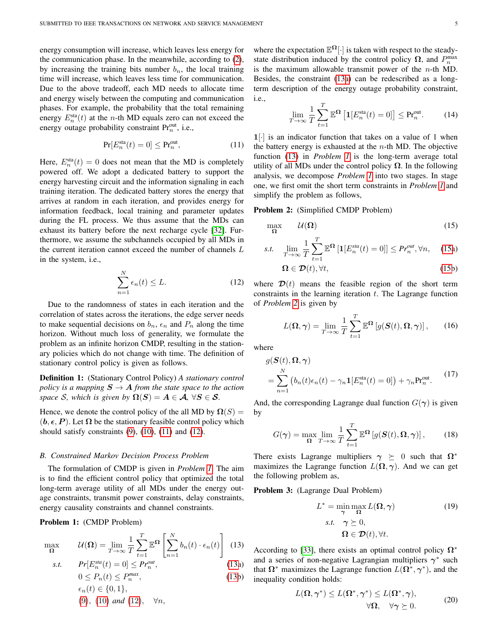energy consumption will increase, which leaves less energy for the communication phase. In the meanwhile, according to [\(2\)](#page-2-4), by increasing the training bits number  $b_n$ , the local training time will increase, which leaves less time for communication. Due to the above tradeoff, each MD needs to allocate time and energy wisely between the computing and communication phases. For example, the probability that the total remaining energy  $E_n^{\text{sta}}(t)$  at the *n*-th MD equals zero can not exceed the energy outage probability constraint  $Pr_n^{\text{out}}$ , i.e.,

$$
\Pr[E_n^{\text{sta}}(t) = 0] \le \Pr_n^{\text{out}},\tag{11}
$$

<span id="page-4-0"></span>Here,  $E_n^{\text{sta}}(t) = 0$  does not mean that the MD is completely powered off. We adopt a dedicated battery to support the energy harvesting circuit and the information signaling in each training iteration. The dedicated battery stores the energy that arrives at random in each iteration, and provides energy for information feedback, local training and parameter updates during the FL process. We thus assume that the MDs can exhaust its battery before the next recharge cycle [\[32\]](#page-12-26). Furthermore, we assume the subchannels occupied by all MDs in the current iteration cannot exceed the number of channels L in the system, i.e.,

$$
\sum_{n=1}^{N} \epsilon_n(t) \le L. \tag{12}
$$

<span id="page-4-1"></span>Due to the randomness of states in each iteration and the correlation of states across the iterations, the edge server needs to make sequential decisions on  $b_n$ ,  $\epsilon_n$  and  $P_n$  along the time horizon. Without much loss of generality, we formulate the problem as an infinite horizon CMDP, resulting in the stationary policies which do not change with time. The definition of stationary control policy is given as follows.

Definition 1: (Stationary Control Policy) *A stationary control policy is a mapping*  $S \to A$  *from the state space to the action space* S, which is given by  $\Omega(S) = A \in \mathcal{A}$ ,  $\forall S \in \mathcal{S}$ .

Hence, we denote the control policy of the all MD by  $\Omega(S)$  =  $(b, \epsilon, P)$ . Let  $\Omega$  be the stationary feasible control policy which should satisfy constraints  $(9)$ ,  $(10)$ ,  $(11)$  and  $(12)$ .

## *B. Constrained Markov Decision Process Problem*

The formulation of CMDP is given in *Problem [1](#page-4-2)*. The aim is to find the efficient control policy that optimized the total long-term average utility of all MDs under the energy outage constraints, transmit power constraints, delay constraints, energy causality constraints and channel constraints.

Problem 1: (CMDP Problem)

$$
\max_{\Omega} \qquad \mathcal{U}(\Omega) = \lim_{T \to \infty} \frac{1}{T} \sum_{t=1}^{T} \mathbb{E}^{\Omega} \left[ \sum_{n=1}^{N} b_n(t) \cdot \epsilon_n(t) \right] \tag{13}
$$

s.t. 
$$
Pr[E_n^{sta}(t) = 0] \le Pr_n^{out},
$$
  
\n
$$
0 \le P_n(t) \le P_n^{max},
$$
\n(13a)

$$
0 \le F_n(t) \le F_n \quad ,
$$
  
\n
$$
\epsilon_n(t) \in \{0, 1\},
$$
  
\n(9), (10) and (12),  $\forall n$ ,

where the expectation  $\mathbb{E}^{\Omega}[\cdot]$  is taken with respect to the steadystate distribution induced by the control policy  $\Omega$ , and  $P_n^{\text{max}}$ is the maximum allowable transmit power of the  $n$ -th MD. Besides, the constraint [\(13a\)](#page-4-4) can be redescribed as a longterm description of the energy outage probability constraint, i.e.,

$$
\lim_{T \to \infty} \frac{1}{T} \sum_{t=1}^{T} \mathbb{E}^{\Omega} \left[ \mathbf{1} [E_n^{\text{sta}}(t) = 0] \right] \le \text{Pr}_n^{\text{out}}.
$$
 (14)

 $1$ [·] is an indicator function that takes on a value of 1 when the battery energy is exhausted at the  $n$ -th MD. The objective function [\(13\)](#page-4-3) in *Problem [1](#page-4-2)* is the long-term average total utility of all MDs under the control policy  $\Omega$ . In the following analysis, we decompose *Problem [1](#page-4-2)* into two stages. In stage one, we first omit the short term constraints in *Problem [1](#page-4-2)* and simplify the problem as follows,

#### Problem 2: (Simplified CMDP Problem)

<span id="page-4-6"></span>
$$
\max_{\Omega} \qquad \mathcal{U}(\Omega) \tag{15}
$$

$$
s.t. \quad \lim_{T \to \infty} \frac{1}{T} \sum_{t=1}^{T} \mathbb{E}^{\Omega} \left[ \mathbf{1} [ E_n^{sta}(t) = 0 ] \right] \leq P r_n^{out}, \forall n, \quad (15a)
$$

<span id="page-4-5"></span>
$$
\Omega \in \mathcal{D}(t), \forall t,
$$
\n(15b)

where  $\mathcal{D}(t)$  means the feasible region of the short term constraints in the learning iteration  $t$ . The Lagrange function of *Problem [2](#page-4-6)* is given by

$$
L(\Omega, \gamma) = \lim_{T \to \infty} \frac{1}{T} \sum_{t=1}^{T} \mathbb{E}^{\Omega} \left[ g(\mathbf{S}(t), \Omega, \gamma) \right], \qquad (16)
$$

<span id="page-4-7"></span>where

$$
g(\mathbf{S}(t), \Omega, \gamma)
$$
  
= 
$$
\sum_{n=1}^{N} (b_n(t)\epsilon_n(t) - \gamma_n \mathbf{1}[E_n^{\text{sta}}(t) = 0]) + \gamma_n \Pr_n^{\text{out}}.
$$
 (17)

And, the corresponding Lagrange dual function  $G(\gamma)$  is given by

<span id="page-4-8"></span>
$$
G(\gamma) = \max_{\Omega} \lim_{T \to \infty} \frac{1}{T} \sum_{t=1}^{T} \mathbb{E}^{\Omega} \left[ g(\mathbf{S}(t), \Omega, \gamma) \right], \qquad (18)
$$

There exists Lagrange multipliers  $\gamma \succeq 0$  such that  $\Omega^*$ maximizes the Lagrange function  $L(\Omega, \gamma)$ . And we can get the following problem as,

<span id="page-4-2"></span>Problem 3: (Lagrange Dual Problem)

$$
L^* = \min_{\gamma} \max_{\Omega} L(\Omega, \gamma)
$$
  
s.t.  $\gamma \succeq 0$ ,  
 $\Omega \in \mathcal{D}(t), \forall t$ . (19)

<span id="page-4-4"></span><span id="page-4-3"></span>According to [\[33\]](#page-12-27), there exists an optimal control policy  $\Omega^*$ and a series of non-negative Lagrangian multipliers  $\gamma^*$  such that  $\Omega^*$  maximizes the Lagrange function  $L(\Omega^*, \gamma^*)$ , and the inequality condition holds:

$$
L(\Omega, \gamma^*) \le L(\Omega^*, \gamma^*) \le L(\Omega^*, \gamma),
$$
  

$$
\forall \Omega, \quad \forall \gamma \succeq 0.
$$
 (20)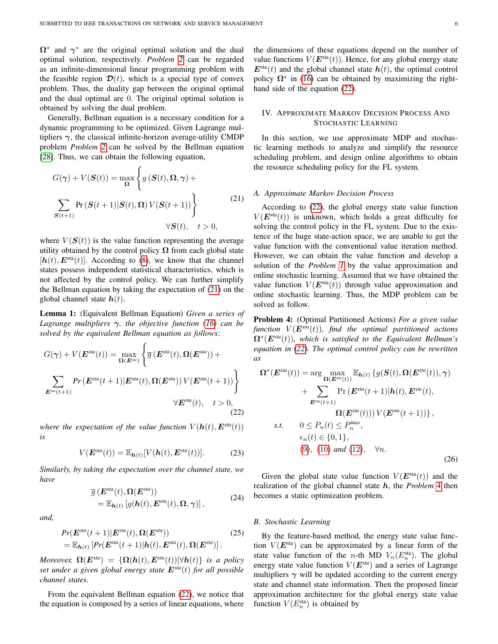$\Omega^*$  and  $\gamma^*$  are the original optimal solution and the dual optimal solution, respectively. *Problem [2](#page-4-6)* can be regarded as an infinite-dimensional linear programming problem with the feasible region  $\mathcal{D}(t)$ , which is a special type of convex problem. Thus, the duality gap between the original optimal and the dual optimal are 0. The original optimal solution is obtained by solving the dual problem.

Generally, Bellman equation is a necessary condition for a dynamic programming to be optimized. Given Lagrange multipliers  $\gamma$ , the classical infinite-horizon average-utility CMDP problem *Problem [2](#page-4-6)* can be solved by the Bellman equation [\[28\]](#page-12-28). Thus, we can obtain the following equation,

<span id="page-5-1"></span>
$$
G(\gamma) + V(\boldsymbol{S}(t)) = \max_{\Omega} \left\{ g(\boldsymbol{S}(t), \Omega, \gamma) + \sum_{\boldsymbol{S}(t+1)} \Pr(\boldsymbol{S}(t+1)|\boldsymbol{S}(t), \Omega) V(\boldsymbol{S}(t+1)) \right\}
$$
(21)  

$$
\forall \boldsymbol{S}(t), \quad t > 0,
$$

where  $V(S(t))$  is the value function representing the average utility obtained by the control policy  $\Omega$  from each global state  $[h(t), E<sup>sta</sup>(t)]$ . According to [\(8\)](#page-3-4), we know that the channel states possess independent statistical characteristics, which is not affected by the control policy. We can further simplify the Bellman equation by taking the expectation of [\(21\)](#page-5-1) on the global channel state  $h(t)$ .

<span id="page-5-4"></span>Lemma 1: (Equivalent Bellman Equation) *Given a series of Lagrange multipliers* γ*, the objective function [\(16\)](#page-4-7) can be solved by the equivalent Bellman equation as follows:*

<span id="page-5-2"></span>
$$
G(\gamma) + V(\boldsymbol{E}^{sta}(t)) = \max_{\Omega(\boldsymbol{E}^{sta})} \left\{ \overline{g} \left( \boldsymbol{E}^{sta}(t), \Omega(\boldsymbol{E}^{sta}) \right) + \\ \sum_{\boldsymbol{E}^{sta}(t+1)} Pr\left( \boldsymbol{E}^{sta}(t+1) | \boldsymbol{E}^{sta}(t), \Omega(\boldsymbol{E}^{sta}) \right) V(\boldsymbol{E}^{sta}(t+1)) \right\} \\ \forall \boldsymbol{E}^{sta}(t), \quad t > 0,
$$
\n(22)

*where the expectation of the value function*  $V(h(t), E^{sta}(t))$ *is*

$$
V(\boldsymbol{E}^{\text{sta}}(t)) = \mathbb{E}_{\boldsymbol{h}(t)}[V(\boldsymbol{h}(t), \boldsymbol{E}^{\text{sta}}(t))]. \tag{23}
$$

*Similarly, by taking the expectation over the channel state, we have*

$$
\overline{g}(\mathbf{E}^{sta}(t), \mathbf{\Omega}(\mathbf{E}^{sta}))
$$
  
=  $\mathbb{E}_{\mathbf{h}(t)}[g(\mathbf{h}(t), \mathbf{E}^{sta}(t), \mathbf{\Omega}, \gamma)],$  (24)

*and,*

$$
Pr(\boldsymbol{E}^{sta}(t+1)|\boldsymbol{E}^{sta}(t), \boldsymbol{\Omega}(\boldsymbol{E}^{sta}))
$$
  
=  $\mathbb{E}_{\boldsymbol{h}(t)}[Pr(\boldsymbol{E}^{sta}(t+1)|\boldsymbol{h}(t), \boldsymbol{E}^{sta}(t), \boldsymbol{\Omega}(\boldsymbol{E}^{sta})].$  (25)

*Moreover,*  $\Omega(E^{sta}) = {\Omega(h(t), E^{sta}(t)) | \forall h(t)}$  *is a policy set under a given global energy state* E*sta*(t) *for all possible channel states.*

From the equivalent Bellman equation [\(22\)](#page-5-2), we notice that the equation is composed by a series of linear equations, where the dimensions of these equations depend on the number of value functions  $V(\mathbf{E}^{\text{sta}}(t))$ . Hence, for any global energy state  $E<sup>sta</sup>(t)$  and the global channel state  $h(t)$ , the optimal control policy  $\Omega^*$  in [\(16\)](#page-4-7) can be obtained by maximizing the righthand side of the equation [\(22\)](#page-5-2).

# <span id="page-5-0"></span>IV. APPROXIMATE MARKOV DECISION PROCESS AND STOCHASTIC LEARNING

In this section, we use approximate MDP and stochastic learning methods to analyze and simplify the resource scheduling problem, and design online algorithms to obtain the resource scheduling policy for the FL system.

## *A. Approximate Markov Decision Process*

According to [\(22\)](#page-5-2), the global energy state value function  $V(E<sup>sta</sup>(t))$  is unknown, which holds a great difficulty for solving the control policy in the FL system. Due to the existence of the huge state-action space, we are unable to get the value function with the conventional value iteration method. However, we can obtain the value function and develop a solution of the *Problem [1](#page-4-2)* by the value approximation and online stochastic learning. Assumed that we have obtained the value function  $V(E^{sta}(t))$  through value approximation and online stochastic learning. Thus, the MDP problem can be solved as follow.

<span id="page-5-3"></span>Problem 4: (Optimal Partitioned Actions) *For a given value function*  $V(E^{sta}(t))$ *, find the optimal partitioned actions* Ω<sup>∗</sup> (E*sta*(t))*, which is satisfied to the Equivalent Bellman's equation in [\(22\)](#page-5-2). The optimal control policy can be rewritten as*

$$
\Omega^*(E^{sta}(t)) = \arg \max_{\Omega(E^{sta}(t))} \mathbb{E}_{h(t)} \{ g(S(t), \Omega(E^{sta}(t)), \gamma) + \sum_{E^{sta}(t+1)} \Pr(E^{sta}(t+1)|h(t), E^{sta}(t),
$$
  

$$
\Omega(E^{sta}(t))) V(E^{sta}(t+1)) \},
$$
s.t.  $0 \le P_n(t) \le P_n^{max},$   
 $\epsilon_n(t) \in \{0, 1\},$   
(9), (10) and (12),  $\forall n.$  (26)

Given the global state value function  $V(E^{\text{sta}}(t))$  and the realization of the global channel state h, the *Problem* [4](#page-5-3) then becomes a static optimization problem.

#### *B. Stochastic Learning*

By the feature-based method, the energy state value function  $V(E^{\text{sta}})$  can be approximated by a linear form of the state value function of the *n*-th MD  $V_n(E_n^{\text{sta}})$ . The global energy state value function  $V(E^{sta})$  and a series of Lagrange multipliers  $\gamma$  will be updated according to the current energy state and channel state information. Then the proposed linear approximation architecture for the global energy state value function  $V(E_n^{\text{sta}})$  is obtained by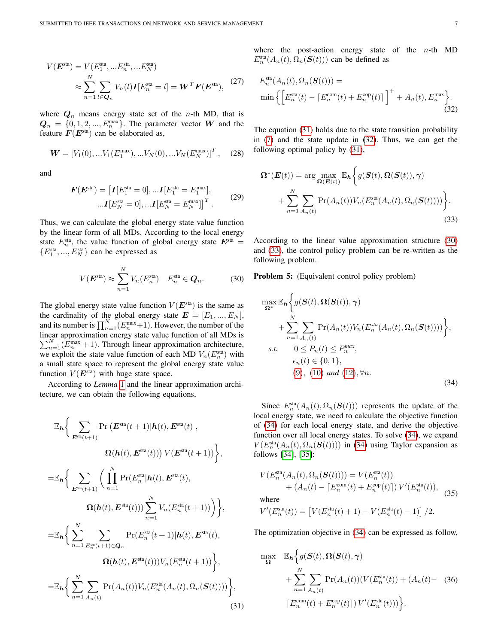$$
V(\boldsymbol{E}^{\text{sta}}) = V(E_1^{\text{sta}}, ... E_n^{\text{sta}}, ... E_N^{\text{sta}})
$$

$$
\approx \sum_{n=1}^N \sum_{l \in \boldsymbol{Q}_n} V_n(l) \boldsymbol{I}[E_n^{\text{sta}} = l] = \boldsymbol{W}^T \boldsymbol{F}(\boldsymbol{E}^{\text{sta}}), \tag{27}
$$

where  $Q_n$  means energy state set of the *n*-th MD, that is  $Q_n = \{0, 1, 2, ..., E_n^{\max}\}\.$  The parameter vector W and the feature  $F(E^{\text{sta}})$  can be elaborated as,

$$
\mathbf{W} = \left[V_1(0), \dots V_1(E_1^{\max}), \dots V_N(0), \dots V_N(E_N^{\max})\right]^T, \quad (28)
$$

and

$$
F(E^{\text{sta}}) = [I[E_1^{\text{sta}} = 0], ... I[E_1^{\text{sta}} = E_1^{\text{max}}],
$$
  
...
$$
I[E_N^{\text{sta}} = 0], ... I[E_N^{\text{sta}} = E_N^{\text{max}}] \big]^T.
$$
 (29)

Thus, we can calculate the global energy state value function by the linear form of all MDs. According to the local energy state  $E_n^{\text{sta}}$ , the value function of global energy state  $E^{\text{sta}} =$  ${E_1^{\text{sta}},...,E_N^{\text{sta}}\}$  can be expressed as

<span id="page-6-2"></span>
$$
V(\boldsymbol{E}^{\text{sta}}) \approx \sum_{n=1}^{N} V_n(E_n^{\text{sta}}) \quad E_n^{\text{sta}} \in \boldsymbol{Q}_n. \tag{30}
$$

The global energy state value function  $V(E^{\text{sta}})$  is the same as the cardinality of the global energy state  $E = [E_1, ..., E_N]$ , and its number is  $\prod_{n=1}^{N} (E_n^{\max} + 1)$ . However, the number of the linear approximation energy state value function of all MDs is  $\sum_{n=1}^{N}$  ( $E_n^{\text{max}} + 1$ ). Through linear approximation architecture, we exploit the state value function of each MD  $V_n(E_n^{\text{sta}})$  with a small state space to represent the global energy state value function  $V(E^{\text{sta}})$  with huge state space.

According to *Lemma* [1](#page-5-4) and the linear approximation architecture, we can obtain the following equations,

<span id="page-6-0"></span>
$$
\mathbb{E}_{\mathbf{h}}\Big\{\sum_{\mathbf{E}^{\text{sta}}(t+1)} \Pr\big(\mathbf{E}^{\text{sta}}(t+1)|\mathbf{h}(t), \mathbf{E}^{\text{sta}}(t)\,,\right.\\\Omega(\mathbf{h}(t), \mathbf{E}^{\text{sta}}(t))\big)V(\mathbf{E}^{\text{sta}}(t+1))\Big\},
$$
\n
$$
=\mathbb{E}_{\mathbf{h}}\Big\{\sum_{\mathbf{E}^{\text{sta}}(t+1)} \bigg(\prod_{n=1}^{N} \Pr(E_{n}^{\text{sta}}|\mathbf{h}(t), \mathbf{E}^{\text{sta}}(t),\right.\\\Omega(\mathbf{h}(t), \mathbf{E}^{\text{sta}}(t)))\sum_{n=1}^{N} V_{n}(E_{n}^{\text{sta}}(t+1))\bigg)\Big\},
$$
\n
$$
=\mathbb{E}_{\mathbf{h}}\Big\{\sum_{n=1}^{N} \sum_{E_{n}^{\text{sta}}(t+1)\in\mathbf{Q}_{n}} \Pr(E_{n}^{\text{sta}}(t+1)|\mathbf{h}(t), \mathbf{E}^{\text{sta}}(t),\right.\\\Omega(\mathbf{h}(t), \mathbf{E}^{\text{sta}}(t)))V_{n}(E_{n}^{\text{sta}}(t+1))\Big\},
$$
\n
$$
=\mathbb{E}_{\mathbf{h}}\Big\{\sum_{n=1}^{N} \sum_{A_{n}(t)} \Pr(A_{n}(t))V_{n}(E_{n}^{\text{sta}}(A_{n}(t), \Omega_{n}(\mathbf{S}(t))))\Big\},
$$
\n(31)

where the post-action energy state of the  $n$ -th MD  $E_n^{\text{sta}}(A_n(t), \Omega_n(\boldsymbol{S}(t)))$  can be defined as

<span id="page-6-1"></span>
$$
E_n^{\text{sta}}(A_n(t), \Omega_n(\mathbf{S}(t))) = \min \left\{ \left[ E_n^{\text{sta}}(t) - \left[ E_n^{\text{com}}(t) + E_n^{\text{cop}}(t) \right] \right]^+ + A_n(t), E_n^{\text{max}} \right\}.
$$
\n(32)

The equation [\(31\)](#page-6-0) holds due to the state transition probability in [\(7\)](#page-3-5) and the state update in [\(32\)](#page-6-1). Thus, we can get the following optimal policy by [\(31\)](#page-6-0),

<span id="page-6-3"></span>
$$
\Omega^*(\boldsymbol{E}(t)) = \arg \max_{\Omega(\boldsymbol{E}(t))} \mathbb{E}_{\boldsymbol{h}} \bigg\{ g(\boldsymbol{S}(t), \Omega(\boldsymbol{S}(t)), \gamma) + \sum_{n=1}^N \sum_{A_n(t)} \Pr(A_n(t)) V_n(E_n^{\text{sta}}(A_n(t), \Omega_n(\boldsymbol{S}(t)))) \bigg\}.
$$
\n(33)

According to the linear value approximation structure [\(30\)](#page-6-2) and [\(33\)](#page-6-3), the control policy problem can be re-written as the following problem.

Problem 5: (Equivalent control policy problem)

<span id="page-6-4"></span>
$$
\max_{\Omega^*} \mathbb{E}_{\mathbf{h}} \Biggl\{ g(\mathbf{S}(t), \Omega(\mathbf{S}(t)), \gamma) + \sum_{n=1}^N \sum_{A_n(t)} \Pr(A_n(t)) V_n(E_n^{sta}(A_n(t), \Omega_n(\mathbf{S}(t)))) \Biggr\},\
$$
  
s.t.  $0 \le P_n(t) \le P_n^{max},$   
 $\epsilon_n(t) \in \{0, 1\},$   
(9), (10) and (12),  $\forall n$ . (34)

Since  $E_n^{\text{sta}}(A_n(t), \Omega_n(\mathbf{S}(t)))$  represents the update of the local energy state, we need to calculate the objective function of [\(34\)](#page-6-4) for each local energy state, and derive the objective function over all local energy states. To solve [\(34\)](#page-6-4), we expand  $V(E_n^{\text{sta}}(A_n(t), \Omega_n(\mathbf{S}(t))))$  in [\(34\)](#page-6-4) using Taylor expansion as follows [\[34\]](#page-12-29), [\[35\]](#page-12-30):

$$
V(E_n^{\text{sta}}(A_n(t), \Omega_n(\mathcal{S}(t)))) = V(E_n^{\text{sta}}(t)) + (A_n(t) - [E_n^{\text{com}}(t) + E_n^{\text{cop}}(t)]) V'(E_n^{\text{sta}}(t)),
$$
  
where  

$$
V'(E_n^{\text{sta}}(t)) = [V(E_n^{\text{sta}}(t) + 1) - V(E_n^{\text{sta}}(t) - 1)] / 2.
$$

The optimization objective in [\(34\)](#page-6-4) can be expressed as follow,

$$
\max_{\Omega} \mathbb{E}_{h} \Big\{ g(\mathbf{S}(t), \Omega(\mathbf{S}(t), \gamma) + \sum_{n=1}^{N} \sum_{A_n(t)} \Pr(A_n(t)) (V(E_n^{\text{sta}}(t)) + (A_n(t) - (36))
$$

$$
\big[ E_n^{\text{com}}(t) + E_n^{\text{cop}}(t) \big] ) V'(E_n^{\text{sta}}(t))) \Big\}.
$$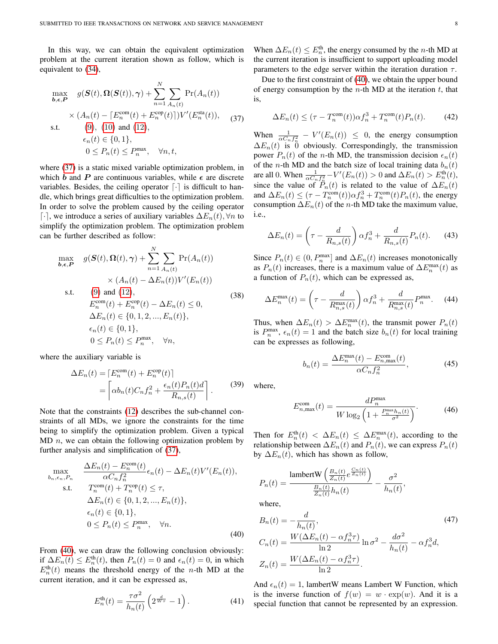In this way, we can obtain the equivalent optimization problem at the current iteration shown as follow, which is equivalent to [\(34\)](#page-6-4),

<span id="page-7-0"></span>
$$
\max_{\mathbf{b}, \epsilon, \mathbf{P}} g(\mathbf{S}(t), \mathbf{\Omega}(\mathbf{S}(t)), \gamma) + \sum_{n=1}^{N} \sum_{A_n(t)} \Pr(A_n(t))
$$
\n
$$
\times (A_n(t) - [E_n^{\text{com}}(t) + E_n^{\text{cop}}(t)]) V'(E_n^{\text{sta}}(t)), \quad (37)
$$
\n
$$
\text{s.t.} \quad (9), \ (10) \text{ and } (12),
$$
\n
$$
\epsilon_n(t) \in \{0, 1\},
$$
\n
$$
0 \le P_n(t) \le P_n^{\text{max}}, \quad \forall n, t,
$$

where [\(37\)](#page-7-0) is a static mixed variable optimization problem, in which b and P are continuous variables, while  $\epsilon$  are discrete variables. Besides, the ceiling operator  $\lceil \cdot \rceil$  is difficult to handle, which brings great difficulties to the optimization problem. In order to solve the problem caused by the ceiling operator [⋅], we introduce a series of auxiliary variables  $\Delta E_n(t)$ ,  $\forall n$  to simplify the optimization problem. The optimization problem can be further described as follow:

$$
\max_{\boldsymbol{b}, \boldsymbol{\epsilon}, \boldsymbol{P}} \quad g(\boldsymbol{S}(t), \boldsymbol{\Omega}(t), \boldsymbol{\gamma}) + \sum_{n=1}^{N} \sum_{A_n(t)} \Pr(A_n(t))
$$
\n
$$
\times (A_n(t) - \Delta E_n(t)) V'(E_n(t))
$$
\n
$$
\text{st} \quad (9) \text{ and } (12) \tag{2}
$$

 $(9)$  and  $(12)$ ,  $E_n^{\text{com}}(t) + E_n^{\text{cop}}(t) - \Delta E_n(t) \leq 0,$  $\Delta E_n(t) \in \{0, 1, 2, ..., E_n(t)\},\$  $\epsilon_n(t) \in \{0,1\},\$  $0 \le P_n(t) \le P_n^{\max}, \quad \forall n,$ (38)

where the auxiliary variable is

$$
\Delta E_n(t) = \left[ E_n^{\text{com}}(t) + E_n^{\text{cop}}(t) \right]
$$

$$
= \left[ \alpha b_n(t) C_n f_n^2 + \frac{\epsilon_n(t) P_n(t) d}{R_{n,s}(t)} \right].
$$
(39)

Note that the constraints [\(12\)](#page-4-1) describes the sub-channel constraints of all MDs, we ignore the constraints for the time being to simplify the optimization problem. Given a typical MD  $n$ , we can obtain the following optimization problem by further analysis and simplification of [\(37\)](#page-7-0),

<span id="page-7-1"></span>
$$
\max_{b_n, \epsilon_n, P_n} \frac{\Delta E_n(t) - E_n^{\text{com}}(t)}{\alpha C_n f_n^2} \epsilon_n(t) - \Delta E_n(t) V'(E_n(t)),
$$
\n
$$
\text{s.t.} \quad T_n^{\text{com}}(t) + T_n^{\text{cop}}(t) \le \tau,
$$
\n
$$
\Delta E_n(t) \in \{0, 1, 2, \dots, E_n(t)\},
$$
\n
$$
\epsilon_n(t) \in \{0, 1\},
$$
\n
$$
0 \le P_n(t) \le P_n^{\text{max}}, \quad \forall n.
$$
\n(40)

From [\(40\)](#page-7-1), we can draw the following conclusion obviously: if  $\Delta E_n(t) \le E_n^{\text{th}}(t)$ , then  $P_n(t) = 0$  and  $\epsilon_n(t) = 0$ , in which  $E_n^{\text{th}}(t)$  means the threshold energy of the *n*-th MD at the current iteration, and it can be expressed as,

E

$$
E_n^{\text{th}}(t) = \frac{\tau \sigma^2}{h_n(t)} \left( 2^{\frac{d}{W\tau}} - 1 \right). \tag{41}
$$

When  $\Delta E_n(t) \leq E_n^{\text{th}}$ , the energy consumed by the *n*-th MD at the current iteration is insufficient to support uploading model parameters to the edge server within the iteration duration  $\tau$ .

Due to the first constraint of [\(40\)](#page-7-1), we obtain the upper bound of energy consumption by the  $n$ -th MD at the iteration  $t$ , that is,

$$
\Delta E_n(t) \le (\tau - T_n^{\text{com}}(t))\alpha f_n^3 + T_n^{\text{com}}(t)P_n(t). \tag{42}
$$

When  $\frac{1}{\alpha C_n f_n^2} - V'(E_n(t)) \leq 0$ , the energy consumption  $\Delta E_n(t)$  is 0 obviously. Correspondingly, the transmission power  $P_n(t)$  of the *n*-th MD, the transmission decision  $\epsilon_n(t)$ of the *n*-th MD and the batch size of local training data  $b_n(t)$ are all 0. When  $\frac{1}{\alpha C_n f_n^2} - V'(E_n(t)) > 0$  and  $\Delta E_n(t) > E_n^{\text{th}}(t)$ , since the value of  $\overline{P}_n(t)$  is related to the value of  $\Delta E_n(t)$ and  $\Delta E_n(t) \leq (\tau - T_n^{\text{com}}(t)) \alpha f_n^3 + T_n^{\text{com}}(t) P_n(t)$ , the energy consumption  $\Delta E_n(t)$  of the *n*-th MD take the maximum value, i.e.,

$$
\Delta E_n(t) = \left(\tau - \frac{d}{R_{n,s}(t)}\right) \alpha f_n^3 + \frac{d}{R_{n,s}(t)} P_n(t). \tag{43}
$$

Since  $P_n(t) \in (0, P_n^{\max}]$  and  $\Delta E_n(t)$  increases monotonically as  $P_n(t)$  increases, there is a maximum value of  $\Delta E_n^{\max}(t)$  as a function of  $P_n(t)$ , which can be expressed as,

$$
\Delta E_n^{\max}(t) = \left(\tau - \frac{d}{R_{n,s}^{\max}(t)}\right) \alpha f_n^3 + \frac{d}{R_{n,s}^{\max}(t)} P_n^{\max}.\tag{44}
$$

Thus, when  $\Delta E_n(t) > \Delta E_n^{\max}(t)$ , the transmit power  $P_n(t)$ is  $P_n^{\max}$ ,  $\epsilon_n(t) = 1$  and the batch size  $b_n(t)$  for local training can be expresses as following,

$$
b_n(t) = \frac{\Delta E_n^{\text{max}}(t) - E_{n,\text{max}}^{\text{com}}(t)}{\alpha C_n f_n^2},\tag{45}
$$

<span id="page-7-3"></span>where,

$$
E_{n,\max}^{\text{com}}(t) = \frac{dP_n^{\max}}{W \log_2\left(1 + \frac{P_n^{\max}h_n(t)}{\sigma^2}\right)}.
$$
 (46)

Then for  $E_n^{\text{th}}(t) < \Delta E_n(t) \leq \Delta E_n^{\text{max}}(t)$ , according to the relationship between  $\Delta E_n(t)$  and  $P_n(t)$ , we can express  $P_n(t)$ by  $\Delta E_n(t)$ , which has shown as follow,

$$
P_n(t) = \frac{\text{lambertW}\left(\frac{B_n(t)}{Z_n(t)}e^{\frac{C_n(t)}{Z_n(t)}}\right)}{\frac{B_n(t)}{Z_n(t)}h_n(t)} - \frac{\sigma^2}{h_n(t)},
$$

where,

<span id="page-7-2"></span>
$$
B_n(t) = -\frac{d}{h_n(t)},
$$
  
\n
$$
C_n(t) = \frac{W(\Delta E_n(t) - \alpha f_n^3 \tau)}{\ln 2} \ln \sigma^2 - \frac{d\sigma^2}{h_n(t)} - \alpha f_n^3 d,
$$
  
\n
$$
Z_n(t) = \frac{W(\Delta E_n(t) - \alpha f_n^3 \tau)}{\ln 2}.
$$
\n(47)

And  $\epsilon_n(t) = 1$ , lambertW means Lambert W Function, which is the inverse function of  $f(w) = w \cdot \exp(w)$ . And it is a special function that cannot be represented by an expression.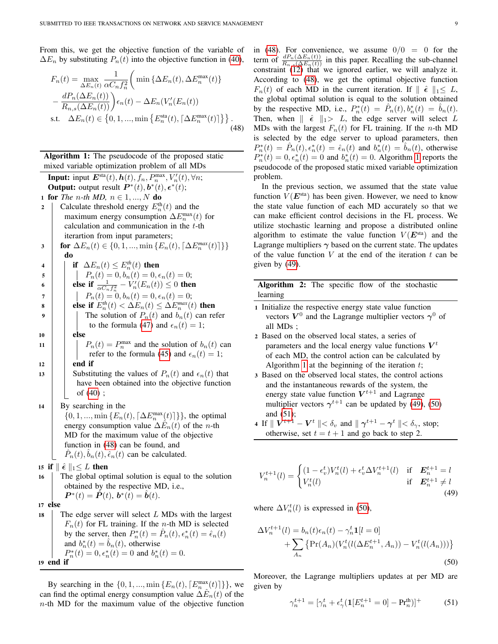From this, we get the objective function of the variable of  $\Delta E_n$  by substituting  $P_n(t)$  into the objective function in [\(40\)](#page-7-1),

<span id="page-8-0"></span>
$$
F_n(t) = \max_{\Delta E_n(t)} \frac{1}{\alpha C_n f_n^2} \left( \min \left\{ \Delta E_n(t), \Delta E_n^{\max}(t) \right\} - \frac{dP_n(\Delta E_n(t))}{R_{n,s}(\Delta E_n(t))} \right) \epsilon_n(t) - \Delta E_n(V'_n(E_n(t))
$$
  
s.t.  $\Delta E_n(t) \in \left\{ 0, 1, ..., \min \left\{ E_n^{\text{sta}}(t), \left\lceil \Delta E_n^{\max}(t) \right\rceil \right\} \right\}.$  (48)

<span id="page-8-1"></span>Algorithm 1: The pseudocode of the proposed static mixed variable optimization problem of all MDs

**Input:** input  $E^{\text{sta}}(t)$ ,  $h(t)$ ,  $f_n$ ,  $P_n^{\max}$ ,  $V'_n(t)$ ,  $\forall n$ ; **Output:** output result  $P^*(t)$ ,  $b^*(t)$ ,  $\epsilon^*(t)$ ; 1 **for** *The n-th MD*,  $n \in 1, ..., N$  **do** 2 | Calculate threshold energy  $E_n^{\text{th}}(t)$  and the maximum energy consumption  $\Delta E_n^{\text{max}}(t)$  for calculation and communication in the t-th iterartion from input parameters; 3 **for**  $\Delta E_n(t) \in \{0, 1, ..., \min\{E_n(t), \lceil \Delta E_n^{max}(t) \rceil\}\}\$ do **4** | if  $\Delta E_n(t)$  ≤  $E_n^{th}(t)$  then

5 | |  $P_n(t) = 0, b_n(t) = 0, \epsilon_n(t) = 0;$ 6 **else if**  $\frac{1}{\alpha C_n f_n^2} - V_n'(E_n(t)) \leq 0$  then 7 | |  $P_n(t) = 0, b_n(t) = 0, \epsilon_n(t) = 0;$ 8 **else if**  $E_n^{th}(t) < \Delta E_n(t) \leq \Delta E_n^{max}(t)$  then The solution of  $P_n(t)$  and  $b_n(t)$  can refer to the formula [\(47\)](#page-7-2) and  $\epsilon_n(t) = 1$ ;  $10$  else 11 | |  $P_n(t) = P$ max

$$
P_n(t) = P_n^{\text{max}}
$$
 and the solution of  $b_n(t)$  can  
refer to the formula (45) and  $\epsilon_n(t) = 1$ ;  
and if

 $12 \parallel$  end if

13 | Substituting the values of  $P_n(t)$  and  $\epsilon_n(t)$  that have been obtained into the objective function of [\(40\)](#page-7-1) ;

<sup>14</sup> By searching in the

 $\{0, 1, ..., \min\{E_n(t), \lceil \Delta E_n^{\max}(t) \rceil\}\}\$ , the optimal energy consumption value  $\Delta \hat{E}_n(t)$  of the *n*-th MD for the maximum value of the objective function in [\(48\)](#page-8-0) can be found, and  $\hat{P}_n(t), \hat{b}_n(t), \hat{\epsilon}_n(t)$  can be calculated.

15 if  $\|\hat{\epsilon}\|_1 \leq L$  then

<sup>16</sup> The global optimal solution is equal to the solution obtained by the respective MD, i.e.,  $\dot{\bm{P}}^*(t) = \dot{\hat{\bm{P}}}(t), \, \dot{\bm{b}}^*(t) = \hat{\bm{b}}(t).$ 

<sup>17</sup> else

18 The edge server will select  $L$  MDs with the largest  $F_n(t)$  for FL training. If the *n*-th MD is selected by the server, then  $P_n^*(t) = \hat{P}_n(t), \epsilon_n^*(t) = \hat{\epsilon}_n(t)$ and  $b_n^*(t) = \hat{b}_n(t)$ , otherwise  $P_n^*(t) = 0, \epsilon_n^*(t) = 0$  and  $b_n^*(t) = 0$ . <sup>19</sup> end if

By searching in the  $\{0, 1, ..., \min\{E_n(t), \lceil E_n^{\max}(t) \rceil\}\}\)$ , we can find the optimal energy consumption value  $\Delta \hat{E}_n(t)$  of the  $n$ -th MD for the maximum value of the objective function

in [\(48\)](#page-8-0). For convenience, we assume  $0/0 = 0$  for the term of  $\frac{dP_n(\Delta E_n(t))}{R_{n,s}(\Delta E_n(t))}$  in this paper. Recalling the sub-channel constraint [\(12\)](#page-4-1) that we ignored earlier, we will analyze it. According to [\(48\)](#page-8-0), we get the optimal objective function  $F_n(t)$  of each MD in the current iteration. If  $\|\hat{\epsilon}\|_1 \leq L$ , the global optimal solution is equal to the solution obtained by the respective MD, i.e.,  $P_n^*(t) = \hat{P}_n(t), b_n^*(t) = \hat{b}_n(t)$ . Then, when  $\|\hat{\epsilon}\|_1 > L$ , the edge server will select L MDs with the largest  $F_n(t)$  for FL training. If the *n*-th MD is selected by the edge server to upload parameters, then  $P_n^*(t) = \hat{P}_n(t), \epsilon_n^*(t) = \hat{\epsilon}_n(t)$  and  $b_n^*(t) = \hat{b}_n(t)$ , otherwise  $P_n^*(t) = 0$ ,  $\epsilon_n^*(t) = 0$  and  $b_n^*(t) = 0$ . Algorithm [1](#page-8-1) reports the pseudocode of the proposed static mixed variable optimization problem.

In the previous section, we assumed that the state value function  $V(E^{\text{sta}})$  has been given. However, we need to know the state value function of each MD accurately so that we can make efficient control decisions in the FL process. We utilize stochastic learning and propose a distributed online algorithm to estimate the value function  $V(E^{\text{sta}})$  and the Lagrange multipliers  $\gamma$  based on the current state. The updates of the value function  $V$  at the end of the iteration  $t$  can be given by [\(49\)](#page-8-2).

Algorithm 2: The specific flow of the stochastic learning

- <span id="page-8-5"></span><sup>1</sup> Initialize the respective energy state value function vectors  $V^0$  and the Lagrange multiplier vectors  $\gamma^0$  of all MDs ;
- <sup>2</sup> Based on the observed local states, a series of parameters and the local energy value functions  $V^t$ of each MD, the control action can be calculated by Algorithm [1](#page-8-1) at the beginning of the iteration  $t$ ;
- <sup>3</sup> Based on the observed local states, the control actions and the instantaneous rewards of the system, the energy state value function  $V^{t+1}$  and Lagrange multiplier vectors  $\gamma^{t+1}$  can be updated by [\(49\)](#page-8-2), [\(50\)](#page-8-3) and [\(51\)](#page-8-4);
- 4 If  $\parallel \boldsymbol{V}^{t+1} \boldsymbol{V}^{t} \parallel < \delta_{v}$  and  $\parallel \boldsymbol{\gamma}^{t+1} \boldsymbol{\gamma}^{t} \parallel < \delta_{\gamma}$ , stop; otherwise, set  $t = t + 1$  and go back to step 2.

<span id="page-8-2"></span>
$$
V_n^{t+1}(l) = \begin{cases} (1 - \epsilon_v^t) V_n^t(l) + \epsilon_v^t \Delta V_n^{t+1}(l) & \text{if } \mathbf{E}_n^{t+1} = l \\ V_n^t(l) & \text{if } \mathbf{E}_n^{t+1} \neq l \end{cases}
$$
(49)

where  $\Delta V_n^t(l)$  is expressed in [\(50\)](#page-8-3),

<span id="page-8-3"></span>
$$
\Delta V_n^{t+1}(l) = b_n(t)\epsilon_n(t) - \gamma_n^t \mathbf{1}[l=0] + \sum_{A_n} \{ \Pr(A_n)(V_n^t(l(\Delta E_n^{t+1}, A_n)) - V_n^t(l(A_n))) \}
$$
(50)

<span id="page-8-4"></span>Moreover, the Lagrange multipliers updates at per MD are given by

$$
\gamma_n^{t+1} = [\gamma_n^t + \epsilon_\gamma^t (\mathbf{1}[E_n^{t+1} = 0] - \mathbf{Pr}_n^{\text{th}})]^+ \tag{51}
$$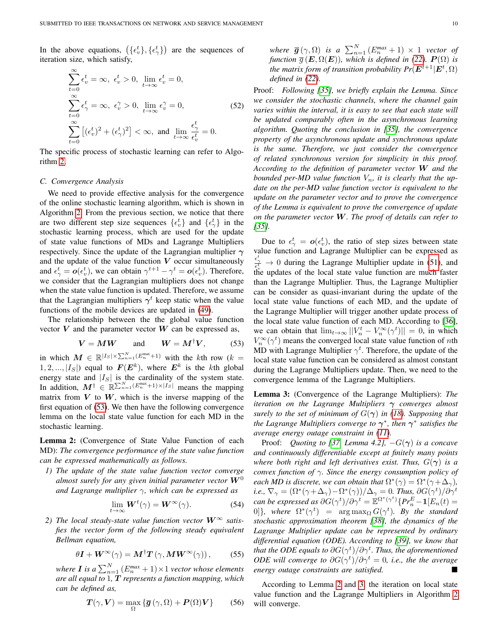In the above equations,  $(\{\epsilon_v^t\}, {\{\epsilon_v^t\}})$  are the sequences of iteration size, which satisfy,

$$
\sum_{t=0}^{\infty} \epsilon_v^t = \infty, \ \epsilon_v^t > 0, \ \lim_{t \to \infty} \epsilon_v^t = 0,
$$
\n
$$
\sum_{t=0}^{\infty} \epsilon_{\gamma}^t = \infty, \ \epsilon_v^{\gamma} > 0, \ \lim_{t \to \infty} \epsilon_v^{\gamma} = 0,
$$
\n
$$
\sum_{t=0}^{\infty} \left[ (\epsilon_v^t)^2 + (\epsilon_{\gamma}^t)^2 \right] < \infty, \ \text{and} \ \lim_{t \to \infty} \frac{\epsilon_{\gamma}^t}{\epsilon_v^t} = 0.
$$
\n(52)

The specific process of stochastic learning can refer to Algorithm [2.](#page-8-5)

#### *C. Convergence Analysis*

We need to provide effective analysis for the convergence of the online stochastic learning algorithm, which is shown in Algorithm [2.](#page-8-5) From the previous section, we notice that there are two different step size sequences  $\{\epsilon_v^t\}$  and  $\{\epsilon_{\gamma}^t\}$  in the stochastic learning process, which are used for the update of state value functions of MDs and Lagrange Multipliers respectively. Since the update of the Lagrangian multiplier  $\gamma$ and the update of the value function  $V$  occur simultaneously and  $\epsilon^t_\gamma = o(\epsilon^t_v)$ , we can obtain  $\gamma^{t+1} - \gamma^t = o(\epsilon^t_v)$ . Therefore, we consider that the Lagrangian multipliers does not change when the state value function is updated. Therefore, we assume that the Lagrangian multipliers  $\gamma^t$  keep static when the value functions of the mobile devices are updated in [\(49\)](#page-8-2).

The relationship between the the global value function vector  $V$  and the parameter vector  $W$  can be expressed as,

<span id="page-9-0"></span>
$$
V = MW \qquad \text{and} \qquad W = M^{\dagger}V, \tag{53}
$$

in which  $M \in \mathbb{R}^{|I_s| \times \sum_{n=1}^{N} (E_n^{\max}+1)}$  with the kth row  $(k =$  $(1, 2, \ldots, |I_S|)$  equal to  $\mathbf{F}(\mathbf{E}^k)$ , where  $\mathbf{E}^k$  is the kth global energy state and  $|I_S|$  is the cardinality of the system state. In addition,  $M^{\dagger} \in \mathbb{R}^{\sum_{n=1}^{N} (E_{n}^{\max}+1) \times |I_{S}|}$  means the mapping matrix from  $V$  to  $W$ , which is the inverse mapping of the first equation of [\(53\)](#page-9-0). We then have the following convergence lemma on the local state value function for each MD in the stochastic learning.

<span id="page-9-1"></span>Lemma 2: (Convergence of State Value Function of each MD): *The convergence performance of the state value function can be expressed mathematically as follows.*

*1) The update of the state value function vector converge almost surely for any given initial parameter vector*  $W^0$ *and Lagrange multiplier* γ*, which can be expressed as*

$$
\lim_{t \to \infty} \mathbf{W}^t(\gamma) = \mathbf{W}^\infty(\gamma). \tag{54}
$$

2) The local steady-state value function vector  $W^{\infty}$  satis*fies the vector form of the following steady equivalent Bellman equation,*

$$
\theta \mathbf{I} + \mathbf{W}^{\infty}(\gamma) = \mathbf{M}^{\dagger} \mathbf{T} \left( \gamma, \mathbf{M} \mathbf{W}^{\infty}(\gamma) \right), \tag{55}
$$

where **I** is a  $\sum_{n=1}^{N}$   $(E_n^{max} + 1) \times 1$  *vector whose elements are all equal to* 1*,* T *represents a function mapping, which can be defined as,*

$$
T(\gamma, V) = \max_{\Omega} \{ \overline{g}(\gamma, \Omega) + P(\Omega)V \}
$$
 (56)

*where*  $\overline{g}(\gamma, \Omega)$  *is a*  $\sum_{n=1}^{N} (E_n^{max} + 1) \times 1$  *vector of function*  $\overline{g}$  ( $\mathbf{E}, \Omega(\mathbf{E})$ ), which is defined in [\(22\)](#page-5-2).  $\mathbf{P}(\Omega)$  is *the matrix form of transition probability*  $Pr(\mathbf{E}^{t+1}|\mathbf{E}^t, \Omega)$ *defined in [\(22\)](#page-5-2).*

Proof: *Following [\[35\]](#page-12-30), we briefly explain the Lemma. Since we consider the stochastic channels, where the channel gain varies within the interval, it is easy to see that each state will be updated comparably often in the asynchronous learning algorithm. Quoting the conclusion in [\[35\]](#page-12-30), the convergence property of the asynchronous update and synchronous update is the same. Therefore, we just consider the convergence of related synchronous version for simplicity in this proof. According to the definition of parameter vector* W *and the bounded per-MD value function*  $V_n$ *, it is clearly that the update on the per-MD value function vector is equivalent to the update on the parameter vector and to prove the convergence of the Lemma is equivalent to prove the convergence of update on the parameter vector* W*. The proof of details can refer to [\[35\]](#page-12-30).*

Due to  $\epsilon^t_{\gamma} = o(\epsilon^t_v)$ , the ratio of step sizes between state value function and Lagrange Multiplier can be expressed as  $\frac{\epsilon_{\gamma}^{t}}{\epsilon_{\delta}^{t}} \to 0$  during the Lagrange Multiplier update in [\(51\)](#page-8-4), and the updates of the local state value function are much faster than the Lagrange Multiplier. Thus, the Lagrange Multiplier can be consider as quasi-invariant during the update of the local state value functions of each MD, and the update of the Lagrange Multiplier will trigger another update process of the local state value function of each MD. According to [\[36\]](#page-12-31), we can obtain that  $\lim_{t\to\infty} ||V_n^t - V_n^{\infty}(\gamma^t)|| = 0$ , in which  $V_n^{\infty}(\gamma^t)$  means the converged local state value function of *n*th MD with Lagrange Multiplier  $\gamma^t$ . Therefore, the update of the local state value function can be considered as almost constant during the Lagrange Multipliers update. Then, we need to the convergence lemma of the Lagrange Multipliers.

<span id="page-9-2"></span>Lemma 3: (Convergence of the Lagrange Multipliers): *The iteration on the Lagrange Multipliers* γ *converges almost surely to the set of minimum of*  $G(\gamma)$  *in [\(18\)](#page-4-8). Supposing that the Lagrange Multipliers converge to*  $γ$ <sup>\*</sup>, *then*  $γ$ <sup>\*</sup> *satisfies the average energy outage constraint in [\(11\)](#page-4-0).*

Proof: *Quoting to [\[37,](#page-12-32) Lemma 4.2],*  $-G(\gamma)$  *is a concave and continuously differentiable except at finitely many points where both right and left derivatives exist. Thus,*  $G(\gamma)$  *is a convex function of* γ*. Since the energy consumption policy of each MD is discrete, we can obtain that*  $\Omega^*(\gamma) = \Omega^*(\gamma + \Delta_{\gamma})$ , *i.e.,*  $\nabla_{\gamma} = (\Omega^*(\gamma + \Delta_{\gamma}) - \Omega^*(\gamma))/\Delta_{\gamma} = 0$ *. Thus,*  $\partial G(\gamma^t)/\partial \gamma^t$  $can$  be expressed as  $\partial G(\gamma^t)/\partial \gamma^t = \mathbb{E}^{\Omega^*(\gamma^t)} \{Pr_n^E {-} \mathbf{1}[E_n(t) =$ 0]}, where  $\Omega^*(\gamma^t)$  =  $\arg \max_{\Omega} G(\gamma^t)$ . By the standard *stochastic approximation theorem [\[38\]](#page-12-33), the dynamics of the Lagrange Multiplier update can be represented by ordinary differential equation (ODE). According to [\[39\]](#page-12-34), we know that* that the ODE equals to  $\partial G(\gamma^t)/\partial \gamma^t.$  Thus, the aforementioned *ODE will converge to*  $\partial G(\gamma^t)/\partial \gamma^t = 0$ , *i.e.*, the the average *energy outage constraints are satisfied.*

According to Lemma [2](#page-9-1) and [3,](#page-9-2) the iteration on local state value function and the Lagrange Multipliers in Algorithm [2](#page-8-5) will converge.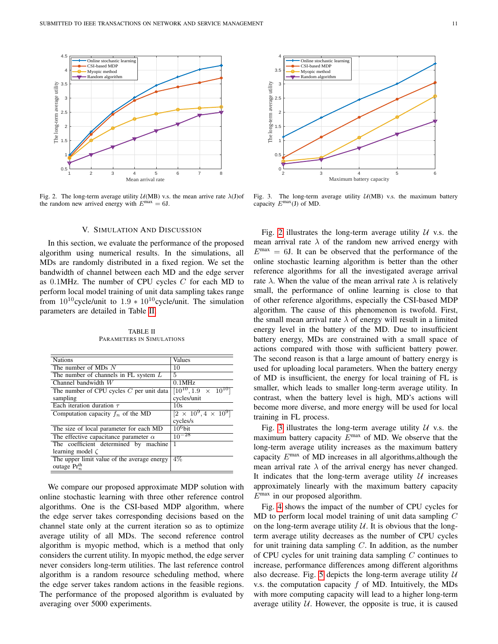

<span id="page-10-2"></span>Fig. 2. The long-term average utility  $U(MB)$  v.s. the mean arrive rate  $\lambda$ (J)of the random new arrived energy with  $E^{\text{max}} = 6$ .

## V. SIMULATION AND DISCUSSION

<span id="page-10-0"></span>In this section, we evaluate the performance of the proposed algorithm using numerical results. In the simulations, all MDs are randomly distributed in a fixed region. We set the bandwidth of channel between each MD and the edge server as  $0.1$ MHz. The number of CPU cycles  $C$  for each MD to perform local model training of unit data sampling takes range from  $10^{10}$ cycle/unit to  $1.9 * 10^{10}$ cycle/unit. The simulation parameters are detailed in Table [II.](#page-10-1)

TABLE II PARAMETERS IN SIMULATIONS

<span id="page-10-1"></span>

| <b>Nations</b>                               | Values                                  |  |  |
|----------------------------------------------|-----------------------------------------|--|--|
| The number of MDs $N$                        | 10                                      |  |  |
| The number of channels in FL system $L$      | 5                                       |  |  |
| Channel bandwidth $W$                        | $0.1$ MHz                               |  |  |
| The number of CPU cycles $C$ per unit data   | $[10^{10}, 1.9 \times 10^{10}]$         |  |  |
| sampling                                     | cycles/unit                             |  |  |
| Each iteration duration $\tau$               | 10s                                     |  |  |
| Computation capacity $f_n$ of the MD         | $\sqrt{[2 \times 10^9, 4 \times 10^9]}$ |  |  |
|                                              | cycles/s                                |  |  |
| The size of local parameter for each MD      | $10^6$ bit                              |  |  |
| The effective capacitance parameter $\alpha$ | $10^{-28}$                              |  |  |
| The coefficient determined by machine        | 1                                       |  |  |
| learning model $\zeta$                       |                                         |  |  |
| The upper limit value of the average energy  | $4\%$                                   |  |  |
| outage $Pr_n^{\text{th}}$                    |                                         |  |  |
|                                              |                                         |  |  |

We compare our proposed approximate MDP solution with online stochastic learning with three other reference control algorithms. One is the CSI-based MDP algorithm, where the edge server takes corresponding decisions based on the channel state only at the current iteration so as to optimize average utility of all MDs. The second reference control algorithm is myopic method, which is a method that only considers the current utility. In myopic method, the edge server never considers long-term utilities. The last reference control algorithm is a random resource scheduling method, where the edge server takes random actions in the feasible regions. The performance of the proposed algorithm is evaluated by averaging over 5000 experiments.



<span id="page-10-3"></span>Fig. 3. The long-term average utility  $U(MB)$  v.s. the maximum battery capacity  $E^{max}(J)$  of MD.

Fig. [2](#page-10-2) illustrates the long-term average utility  $U$  v.s. the mean arrival rate  $\lambda$  of the random new arrived energy with  $E<sup>max</sup> = 6J$ . It can be observed that the performance of the online stochastic learning algorithm is better than the other reference algorithms for all the investigated average arrival rate  $\lambda$ . When the value of the mean arrival rate  $\lambda$  is relatively small, the performance of online learning is close to that of other reference algorithms, especially the CSI-based MDP algorithm. The cause of this phenomenon is twofold. First, the small mean arrival rate  $\lambda$  of energy will result in a limited energy level in the battery of the MD. Due to insufficient battery energy, MDs are constrained with a small space of actions compared with those with sufficient battery power. The second reason is that a large amount of battery energy is used for uploading local parameters. When the battery energy of MD is insufficient, the energy for local training of FL is smaller, which leads to smaller long-term average utility. In contrast, when the battery level is high, MD's actions will become more diverse, and more energy will be used for local training in FL process.

Fig. [3](#page-10-3) illustrates the long-term average utility  $U$  v.s. the maximum battery capacity  $E^{\text{max}}$  of MD. We observe that the long-term average utility increases as the maximum battery capacity  $E^{\text{max}}$  of MD increases in all algorithms, although the mean arrival rate  $\lambda$  of the arrival energy has never changed. It indicates that the long-term average utility  $U$  increases approximately linearly with the maximum battery capacity  $E^{\text{max}}$  in our proposed algorithm.

Fig. [4](#page-11-1) shows the impact of the number of CPU cycles for MD to perform local model training of unit data sampling C on the long-term average utility  $U$ . It is obvious that the longterm average utility decreases as the number of CPU cycles for unit training data sampling  $C$ . In addition, as the number of CPU cycles for unit training data sampling  $C$  continues to increase, performance differences among different algorithms also decrease. Fig. [5](#page-11-2) depicts the long-term average utility  $U$ v.s. the computation capacity  $f$  of MD. Intuitively, the MDs with more computing capacity will lead to a higher long-term average utility  $U$ . However, the opposite is true, it is caused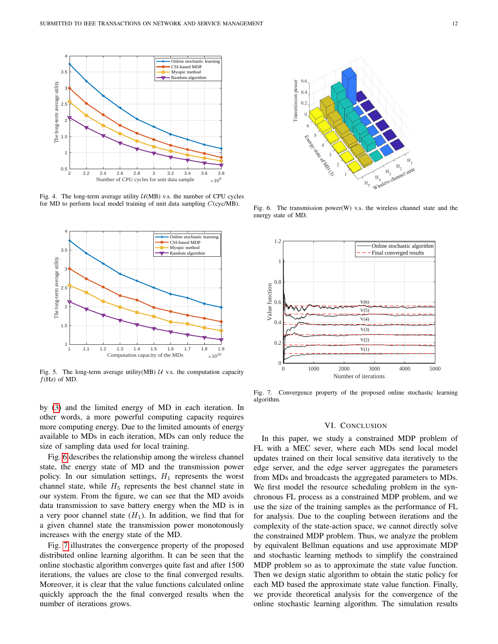

<span id="page-11-1"></span>Fig. 4. The long-term average utility  $U(MB)$  v.s. the number of CPU cycles for MD to perform local model training of unit data sampling C(cyc/MB).



<span id="page-11-2"></span>Fig. 5. The long-term average utility(MB)  $U$  v.s. the computation capacity  $f$ (Hz) of MD.

by [\(3\)](#page-2-3) and the limited energy of MD in each iteration. In other words, a more powerful computing capacity requires more computing energy. Due to the limited amounts of energy available to MDs in each iteration, MDs can only reduce the size of sampling data used for local training.

Fig. [6](#page-11-3) describes the relationship among the wireless channel state, the energy state of MD and the transmission power policy. In our simulation settings,  $H_1$  represents the worst channel state, while  $H_5$  represents the best channel state in our system. From the figure, we can see that the MD avoids data transmission to save battery energy when the MD is in a very poor channel state  $(H_1)$ . In addition, we find that for a given channel state the transmission power monotonously increases with the energy state of the MD.

Fig. [7](#page-11-4) illustrates the convergence property of the proposed distributed online learning algorithm. It can be seen that the online stochastic algorithm converges quite fast and after 1500 iterations, the values are close to the final converged results. Moreover, it is clear that the value functions calculated online quickly approach the the final converged results when the number of iterations grows.



<span id="page-11-3"></span>Fig. 6. The transmission power $(W)$  v.s. the wireless channel state and the energy state of MD.



<span id="page-11-4"></span>Fig. 7. Convergence property of the proposed online stochastic learning algorithm.

#### VI. CONCLUSION

<span id="page-11-0"></span>In this paper, we study a constrained MDP problem of FL with a MEC sever, where each MDs send local model updates trained on their local sensitive data iteratively to the edge server, and the edge server aggregates the parameters from MDs and broadcasts the aggregated parameters to MDs. We first model the resource scheduling problem in the synchronous FL process as a constrained MDP problem, and we use the size of the training samples as the performance of FL for analysis. Due to the coupling between iterations and the complexity of the state-action space, we cannot directly solve the constrained MDP problem. Thus, we analyze the problem by equivalent Bellman equations and use approximate MDP and stochastic learning methods to simplify the constrained MDP problem so as to approximate the state value function. Then we design static algorithm to obtain the static policy for each MD based the approximate state value function. Finally, we provide theoretical analysis for the convergence of the online stochastic learning algorithm. The simulation results